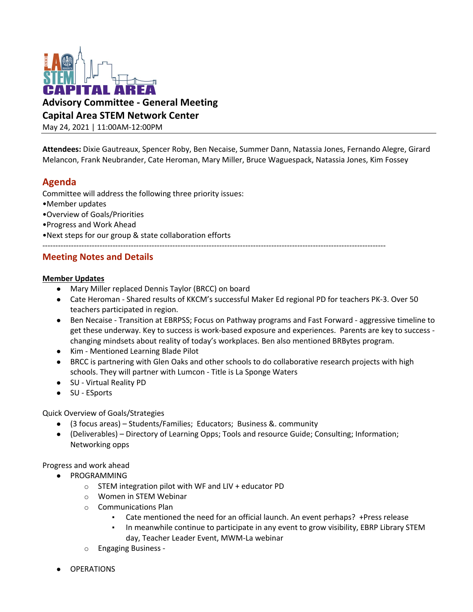

**Advisory Committee - General Meeting** 

**Capital Area STEM Network Center**

May 24, 2021 | 11:00AM-12:00PM

**Attendees:** Dixie Gautreaux, Spencer Roby, Ben Necaise, Summer Dann, Natassia Jones, Fernando Alegre, Girard Melancon, Frank Neubrander, Cate Heroman, Mary Miller, Bruce Waguespack, Natassia Jones, Kim Fossey

# **Agenda**

Committee will address the following three priority issues:

- •Member updates
- •Overview of Goals/Priorities
- •Progress and Work Ahead

•Next steps for our group & state collaboration efforts

# **Meeting Notes and Details**

### **Member Updates**

- Mary Miller replaced Dennis Taylor (BRCC) on board
- Cate Heroman Shared results of KKCM's successful Maker Ed regional PD for teachers PK-3. Over 50 teachers participated in region.

------------------------------------------------------------------------------------------------------------------------------------

- Ben Necaise Transition at EBRPSS; Focus on Pathway programs and Fast Forward aggressive timeline to get these underway. Key to success is work-based exposure and experiences. Parents are key to success changing mindsets about reality of today's workplaces. Ben also mentioned BRBytes program.
- Kim Mentioned Learning Blade Pilot
- BRCC is partnering with Glen Oaks and other schools to do collaborative research projects with high schools. They will partner with Lumcon - Title is La Sponge Waters
- SU Virtual Reality PD
- SU ESports

### Quick Overview of Goals/Strategies

- (3 focus areas) Students/Families; Educators; Business &. community
- (Deliverables) Directory of Learning Opps; Tools and resource Guide; Consulting; Information; Networking opps

## Progress and work ahead

- **PROGRAMMING** 
	- o STEM integration pilot with WF and LIV + educator PD
	- o Women in STEM Webinar
	- o Communications Plan
		- Cate mentioned the need for an official launch. An event perhaps? +Press release
		- In meanwhile continue to participate in any event to grow visibility, EBRP Library STEM day, Teacher Leader Event, MWM-La webinar
	- o Engaging Business -
- **OPERATIONS**